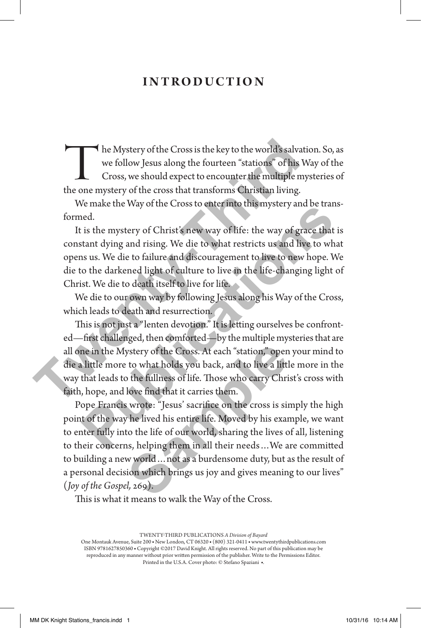### introduction

The Mystery of the Cross is the key to the world's salvation. So, as<br>we follow Jesus along the fourteen "stations" of his Way of the<br>Cross, we should expect to encounter the multiple mysteries of<br>the one mystery of the cro we follow Jesus along the fourteen "stations" of his Way of the Cross, we should expect to encounter the multiple mysteries of the one mystery of the cross that transforms Christian living.

We make the Way of the Cross to enter into this mystery and be transformed.

It is the mystery of Christ's new way of life: the way of grace that is constant dying and rising. We die to what restricts us and live to what opens us. We die to failure and discouragement to live to new hope. We die to the darkened light of culture to live in the life-changing light of Christ. We die to death itself to live for life.

We die to our own way by following Jesus along his Way of the Cross, which leads to death and resurrection.

This is not just a "lenten devotion." It is letting ourselves be confronted—first challenged, then comforted—by the multiple mysteries that are all one in the Mystery of the Cross. At each "station," open your mind to die a little more to what holds you back, and to live a little more in the way that leads to the fullness of life. Those who carry Christ's cross with faith, hope, and love find that it carries them. The Mystery of the Cross is the key to the world's salvation we follow Jesus along the fourteen "stations" of his Wa<br>Cross, we should expect to encounter the multiple mystem one mystery of the cross that transforms Christi real.<br>
Here interest the way of the Cross to enter into this inystery and be drained.<br>
It is the mystery of Christ's new way of life: the way of grace that is<br>
are used to what restricts us and live to what<br>
sus used to fa

Pope Francis wrote: "Jesus' sacrifice on the cross is simply the high point of the way he lived his entire life. Moved by his example, we want to enter fully into the life of our world, sharing the lives of all, listening to their concerns, helping them in all their needs…We are committed to building a new world…not as a burdensome duty, but as the result of a personal decision which brings us joy and gives meaning to our lives" (*Joy of the Gospel,* 269). ystery of the Cross. At each "station," open<br>to what holds you back, and to live a littl<br>o the fullness of life. Those who carry Chri<br>love find that it carries them.<br>s wrote: "Jesus' sacrifice on the cross is sin<br>the lived

This is what it means to walk the Way of the Cross.

TWENTY-THIRD PUBLICATIONS *A Division of Bayard*

One Montauk Avenue, Suite 200 ■ New London, CT 06320 ■ (800) 321-0411 ■ www.twentythirdpublications.com ISBN 9781627850360 ■ Copyright ©2017 David Knight. All rights reserved. No part of this publication may be reproduced in any manner without prior written permission of the publisher. Write to the Permissions Editor. Printed in the U.S.A. Cover photo: © Stefano Spaziani ■.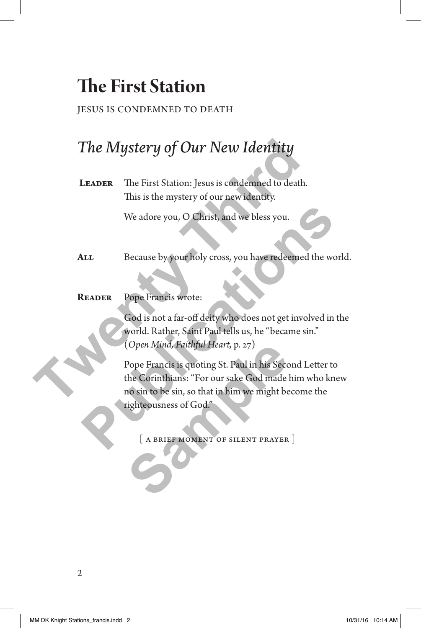# **The First Station**

### jesus is condemned to death

## *The Mystery of Our New Identity*

LEADER The First Station: Jesus is condemned to death. This is the mystery of our new identity.

We adore you, O Christ, and we bless you.

- ALL Because by your holy cross, you have redeemed the world.
- **Reader** Pope Francis wrote:

 God is not a far-off deity who does not get involved in the world. Rather, Saint Paul tells us, he "became sin." (*Open Mind, Faithful Heart,* p. 27)

 Pope Francis is quoting St. Paul in his Second Letter to the Corinthians: "For our sake God made him who knew no sin to be sin, so that in him we might become the righteousness of God." **The Mystery of Our New Identity**<br>
LEADER The First Station: Jesus is condemned to death.<br>
This is the mystery of our new identity.<br>
We adore you, O Christ, and we bless you.<br>
ALL Because by your holy cross, you have redee We adore you, O Christ, and we bless you.<br> **PERICALE SECULE SECULARE SECULARE SECULARE SECULARE POPE Francis wrote:**<br> **POPE Francis wrote:**<br> **POPE Francis wrote:**<br> **POPE Francis wrote:**<br> **POPE Francis wrote:**<br> **POPE Franci** (Open Mind, Faithful Heart, p. 27)<br>Pope Francis is quoting St. Paul in his Seccetive Corinthians: "For our sake God made<br>no sin to be sin, so that in him we might be<br>righteousness of God."<br>[A BRIEF MOMENT OF SILENT PRAYER

[ a brief moment of silent prayer ]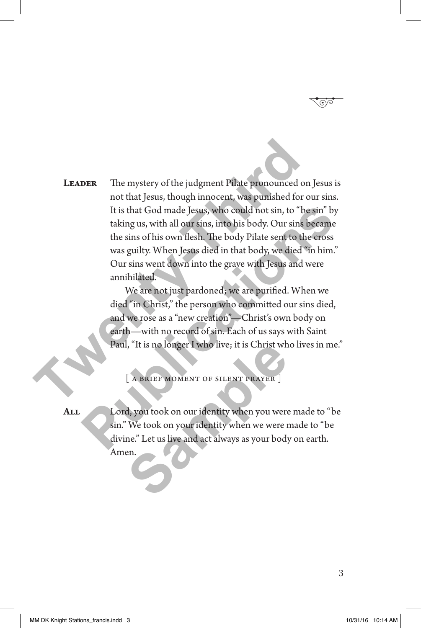**Leader** The mystery of the judgment Pilate pronounced on Jesus is not that Jesus, though innocent, was punished for our sins. It is that God made Jesus, who could not sin, to "be sin" by taking us, with all our sins, into his body. Our sins became the sins of his own flesh. The body Pilate sent to the cross was guilty. When Jesus died in that body, we died "in him." Our sins went down into the grave with Jesus and were annihilated. **The mystery of the judgment Pilate pronounced on**<br>
not that Jesus, though innocent, was pumished for our<br>
It is that God made Jesus, who could not sin, to "be taking us, with all our sins, into his body. Our sins be<br>
the It is that God made Jesus, who could not sin, to "be sin" by<br>taking us, with all our sins, into his body. Our sins became<br>the sins of his own flesh. The body Pilate sent to the cross<br>was guilty. When Jesus died in that bod

 We are not just pardoned; we are purified. When we died "in Christ," the person who committed our sins died, and we rose as a "new creation"—Christ's own body on earth—with no record of sin. Each of us says with Saint Paul, "It is no longer I who live; it is Christ who lives in me."

A BRIEF MOMENT OF SILENT PRAYER

**All** Lord, you took on our identity when you were made to "be sin." We took on your identity when we were made to "be divine." Let us live and act always as your body on earth. Amen. I, "It is no longer I who live; it is Christ wh<br>
[A BRIEF MOMENT OF SILENT PRAYER ]<br>
d, you took on our identity when you were<br>
We took on your identity when we were r<br>
ne." Let us live and act always as your body<br>
en.

3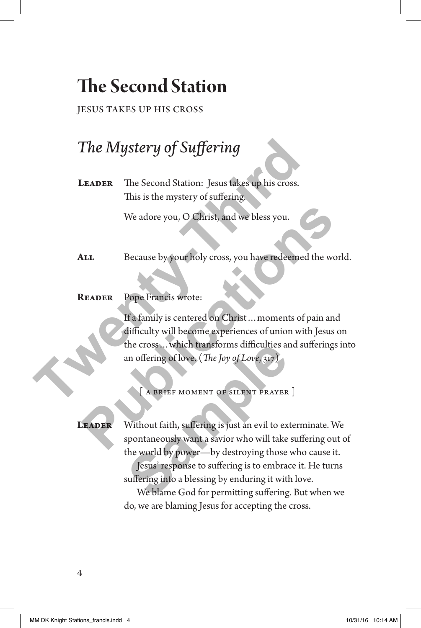# **The Second Station**

#### jesus takes up his cross

### *The Mystery of Suffering*

LEADER The Second Station: Jesus takes up his cross. This is the mystery of suffering.

We adore you, O Christ, and we bless you.

- ALL Because by your holy cross, you have redeemed the world.
- **Reader** Pope Francis wrote:

If a family is centered on Christ…moments of pain and difficulty will become experiences of union with Jesus on the cross…which transforms difficulties and sufferings into an offering of love. (*The Joy of Love*, 317) **The Mystery of Suffering**<br>
LEADER The Second Station: Jesus takes up his cross.<br>
This is the mystery of suffering<br>
We adore you, O Christ, and we bless you.<br>
ALL Because by your holy cross, you have redeened to<br>
READER Po We adore you, O Christ, and we bless you.<br> **Publication Contains and We bless you have redeemed the world<br>
<b>Publications Contains and Supplementary of the Contains of the Section And Supplementary will become experiences o** 

[ a brief moment of silent prayer ]

LEADER Without faith, suffering is just an evil to exterminate. We spontaneously want a savior who will take suffering out of the world by power—by destroying those who cause it. the cross... which transforms difficulties at<br>an offering of love. (*The Joy of Love*, 317)<br><br><br><br><br><br><br><br><br><br><br><br><br><br>Without faith, suffering is just an evil to ex<br>spontaneously want a savior who will take<br>the world by power—by destro

Jesus' response to suffering is to embrace it. He turns suffering into a blessing by enduring it with love.

We blame God for permitting suffering. But when we do, we are blaming Jesus for accepting the cross.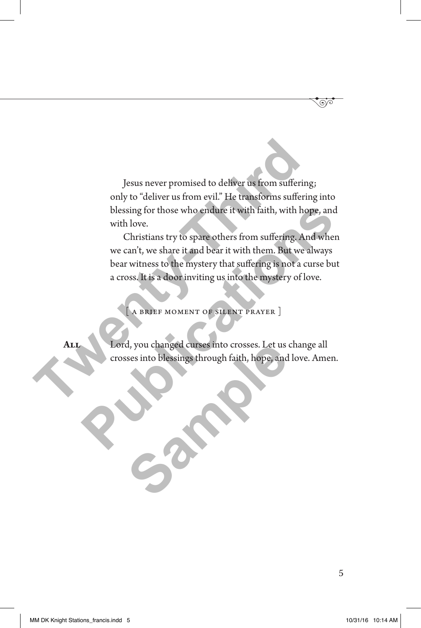Jesus never promised to deliver us from suffering; only to "deliver us from evil." He transforms suffering into blessing for those who endure it with faith, with hope, and with love. **The United States Income States In the CALCE STATE STATE STATE STATE STATE STATE STATE STATE STATE STATE STATE STATE STATE STATE STATE STATE STATE STATE STATE STATE STATE STATE STATE STATE STATE STATE STATE STATE STATE ST** 

Christians try to spare others from suffering. And when we can't, we share it and bear it with them. But we always bear witness to the mystery that suffering is not a curse but a cross. It is a door inviting us into the mystery of love. blessing for those who endure it with faith, with hope, and<br>with love.<br>Christians try to spare others from suffering And when<br>we can't, we share it and bear it with them. But we always<br>bear witness to the mystery that suff

A BRIEF MOMENT OF SILENT PRAYER ]

**All** Lord, you changed curses into crosses. Let us change all crosses into blessings through faith, hope, and love. Amen. d, you changed curses into crosses. Let us a<br>sses into blessings through faith, hope, and<br>the contract of the contract of the contract of the contract of the contract of the contract of the contract of the contract of the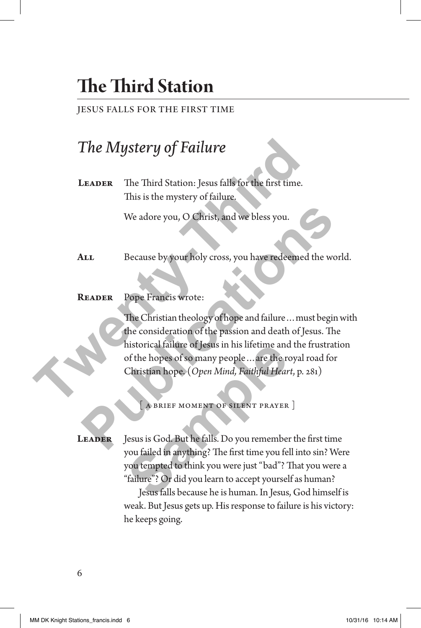# **The Third Station**

#### jesus falls for the first time

### *The Mystery of Failure*

**Leader** The Third Station: Jesus falls for the first time. This is the mystery of failure.

We adore you, O Christ, and we bless you.

- ALL Because by your holy cross, you have redeemed the world.
- **Reader** Pope Francis wrote:

 The Christian theology of hope and failure…must begin with the consideration of the passion and death of Jesus. The historical failure of Jesus in his lifetime and the frustration of the hopes of so many people…are the royal road for Christian hope. (*Open Mind, Faithful Heart*, p. 281) **The Mystery of Failure**<br>
LEADER The Third Station: Jesus falls for the first time.<br>
This is the mystery of failure.<br>
We adore you, O Christ, and we bless you.<br>
ALL Because by your holy cross, you have redeemed to<br>
READER We adore you, O Christ, and we bless you.<br> **Publication Contains and Secure 2018**<br> **Publication 2019**<br> **Publication of the passion and death of Jesus. The<br>
READER Pope Francis wrote:<br>
The Christian theology of hope and fai** 

 $A$  BRIEF MOMENT OF SILENT PRAYER  $\vert$ 

LEADER Jesus is God. But he falls. Do you remember the first time you failed in anything? The first time you fell into sin? Were you tempted to think you were just "bad"? That you were a "failure"? Or did you learn to accept yourself as human? historical tailure of Jesus in his lifetime and<br>of the hopes of so many people ... are the reference of some property<br>Christian hope, (*Open Mind, Faithful Hear*<br>Failure MOMENT OF SILENT PRAYER<br>Jesus is God. But he falls.

 Jesus falls because he is human. In Jesus, God himself is weak. But Jesus gets up. His response to failure is his victory: he keeps going.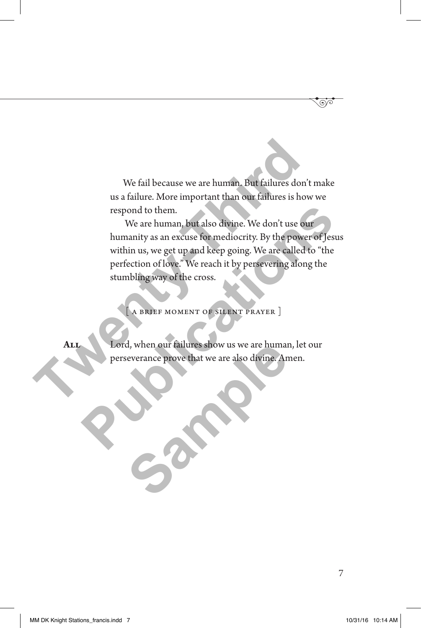We fail because we are human. But failures don't make us a failure. More important than our failures is how we respond to them.

 We are human, but also divine. We don't use our humanity as an excuse for mediocrity. By the power of Jesus within us, we get up and keep going. We are called to "the perfection of love." We reach it by persevering along the stumbling way of the cross. We fail because we are human. But failures don't<br>us a failure. More important than our failures is how<br>respond to them.<br>We are human, but also divine. We don't use our<br>humanity as an excuse for mediocrity. By the power<br>wit respond to them.<br>
We are human, but also divine. We don't use our<br>
humanity as an excuse for mediocrity. By the power of Jesus<br>
within us, we get up and keep going. We are called to "the<br>
perfection of love." We reach it b

A BRIEF MOMENT OF SILENT PRAYER ]

**All** Lord, when our failures show us we are human, let our perseverance prove that we are also divine. Amen. **Sample School School School School School School School School School School School School School School School School School School School School School School School School School School School School School School Scho**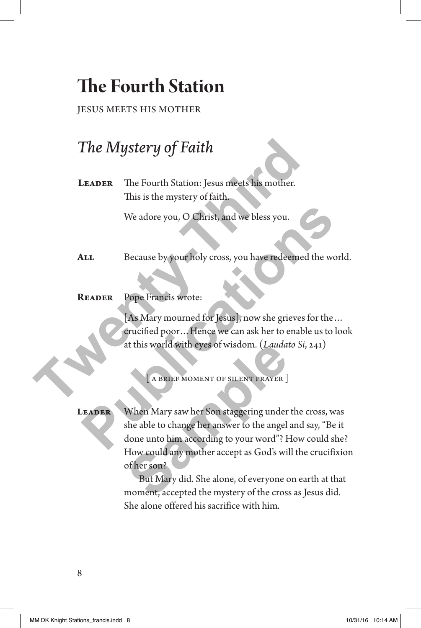# **The Fourth Station**

### jesus meets his mother

## *The Mystery of Faith*

LEADER The Fourth Station: Jesus meets his mother. This is the mystery of faith.

We adore you, O Christ, and we bless you.

- ALL Because by your holy cross, you have redeemed the world.
- **Reader** Pope Francis wrote:

[As Mary mourned for Jesus], now she grieves for the… crucified poor…Hence we can ask her to enable us to look at this world with eyes of wisdom. (*Laudato Si*, 241) **The Mystery of Faith**<br>
LEADER The Fourth Station: Jesus meets his mother.<br>
This is the mystery of faith.<br>
We adore you, O Christ, and we bless you.<br>
ALL Because by your holy cross, you have redeemed to<br>
READER Pope Franci

[A BRIEF MOMENT OF SILENT PRAYER ]

LEADER When Mary saw her Son staggering under the cross, was she able to change her answer to the angel and say, "Be it done unto him according to your word"? How could she? How could any mother accept as God's will the crucifixion of her son? We adore you, O Christ, and we bless you.<br> **PEADER** Because by your holy cross, you have redeened the world<br> **PEADER** Pope Francis wrote:<br> **PABLICATE POPE FRANCISE**<br> **PEADER** POPE FRANCISE WITH PRAYER DESCRIPTION (*Laudato* The World with eyes of wisdom. (*Lauda*:<br>
(A BRIEF MOMENT OF SILENT PRAYER ]<br>
(A BRIEF MOMENT OF SILENT PRAYER ]<br>
When Mary saw her Son staggering under<br>
she able to change her answer to the angel<br>
done unto him according

 But Mary did. She alone, of everyone on earth at that moment, accepted the mystery of the cross as Jesus did. She alone offered his sacrifice with him.